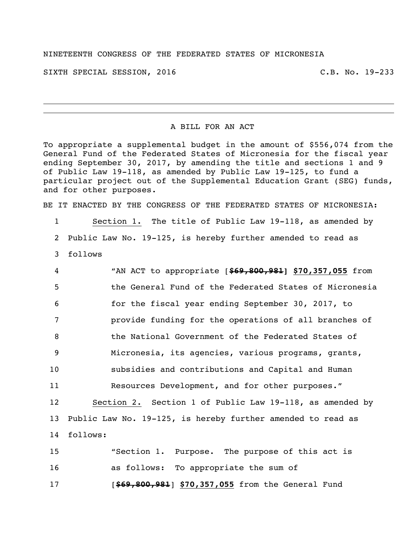## NINETEENTH CONGRESS OF THE FEDERATED STATES OF MICRONESIA

SIXTH SPECIAL SESSION, 2016 C.B. No. 19-233

## A BILL FOR AN ACT

To appropriate a supplemental budget in the amount of \$556,074 from the General Fund of the Federated States of Micronesia for the fiscal year ending September 30, 2017, by amending the title and sections 1 and 9 of Public Law 19-118, as amended by Public Law 19-125, to fund a particular project out of the Supplemental Education Grant (SEG) funds, and for other purposes.

BE IT ENACTED BY THE CONGRESS OF THE FEDERATED STATES OF MICRONESIA:

 Section 1. The title of Public Law 19-118, as amended by Public Law No. 19-125, is hereby further amended to read as follows

| 4               | "AN ACT to appropriate [\$69,800,981] \$70,357,055 from        |
|-----------------|----------------------------------------------------------------|
| 5               | the General Fund of the Federated States of Micronesia         |
| 6               | for the fiscal year ending September 30, 2017, to              |
| 7               | provide funding for the operations of all branches of          |
| 8               | the National Government of the Federated States of             |
| $\overline{9}$  | Micronesia, its agencies, various programs, grants,            |
| 10 <sub>o</sub> | subsidies and contributions and Capital and Human              |
| 11              | Resources Development, and for other purposes."                |
| 12 <sup>2</sup> | Section 2. Section 1 of Public Law 19-118, as amended by       |
|                 | 13 Public Law No. 19-125, is hereby further amended to read as |
| 14              | follows:                                                       |
| 15              | "Section 1. Purpose. The purpose of this act is                |
| 16              | as follows: To appropriate the sum of                          |

[**\$69,800,981**] **\$70,357,055** from the General Fund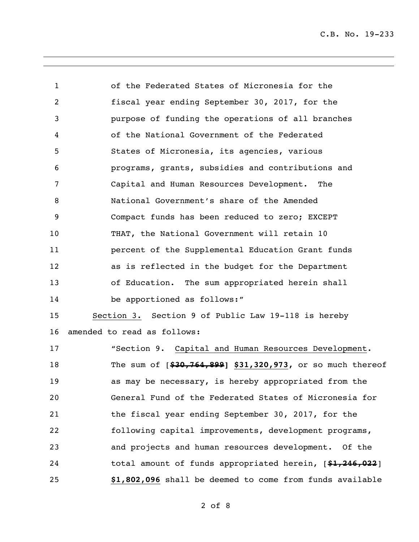| $\mathbf 1$    | of the Federated States of Micronesia for the                 |
|----------------|---------------------------------------------------------------|
| $\overline{2}$ | fiscal year ending September 30, 2017, for the                |
| 3              | purpose of funding the operations of all branches             |
| 4              | of the National Government of the Federated                   |
| 5              | States of Micronesia, its agencies, various                   |
| 6              | programs, grants, subsidies and contributions and             |
| 7              | Capital and Human Resources Development. The                  |
| 8              | National Government's share of the Amended                    |
| 9              | Compact funds has been reduced to zero; EXCEPT                |
| 10             | THAT, the National Government will retain 10                  |
| 11             | percent of the Supplemental Education Grant funds             |
| 12             | as is reflected in the budget for the Department              |
| 13             | of Education. The sum appropriated herein shall               |
| 14             | be apportioned as follows:"                                   |
| 15             | Section 3. Section 9 of Public Law 19-118 is hereby           |
| 16             | amended to read as follows:                                   |
| 17             | "Section 9. Capital and Human Resources Development.          |
| 18             | The sum of $[430, 764, 899]$ \$31,320,973, or so much thereof |
| 19             | as may be necessary, is hereby appropriated from the          |
| 20             | General Fund of the Federated States of Micronesia for        |
| 21             | the fiscal year ending September 30, 2017, for the            |
| 22             | following capital improvements, development programs,         |
| 23             | and projects and human resources development. Of the          |
| 24             | total amount of funds appropriated herein, [\$1,246,022]      |
| 25             | \$1,802,096 shall be deemed to come from funds available      |
|                |                                                               |

of 8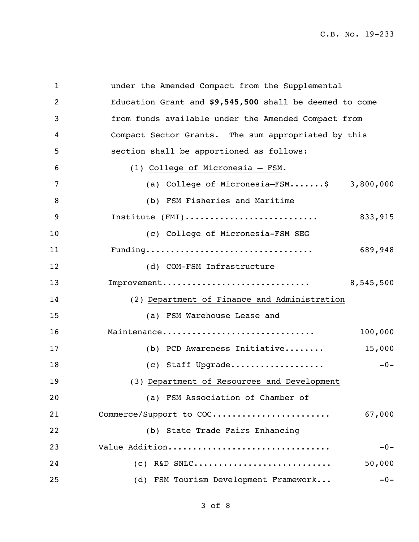| 1              | under the Amended Compact from the Supplemental         |
|----------------|---------------------------------------------------------|
| $\overline{2}$ | Education Grant and \$9,545,500 shall be deemed to come |
| 3              | from funds available under the Amended Compact from     |
| 4              | Compact Sector Grants. The sum appropriated by this     |
| 5              | section shall be apportioned as follows:                |
| 6              | (1) College of Micronesia - FSM.                        |
| 7              | (a) College of Micronesia-FSM\$ 3,800,000               |
| 8              | (b) FSM Fisheries and Maritime                          |
| 9              | Institute (FMI)<br>833,915                              |
| 10             | (c) College of Micronesia-FSM SEG                       |
| 11             | Funding<br>689,948                                      |
| 12             | (d) COM-FSM Infrastructure                              |
| 13             | Improvement<br>8,545,500                                |
| 14             | (2) Department of Finance and Administration            |
| 15             | (a) FSM Warehouse Lease and                             |
| 16             | Maintenance<br>100,000                                  |
| 17             | 15,000<br>(b) PCD Awareness Initiative                  |
| 18             | (c) Staff Upgrade<br>$-0-$                              |
| 19             | (3) Department of Resources and Development             |
| 20             | (a) FSM Association of Chamber of                       |
| 21             | Commerce/Support to COC<br>67,000                       |
| 22             | (b) State Trade Fairs Enhancing                         |
| 23             | Value Addition<br>$-0-$                                 |
| 24             | 50,000<br>$(C)$ R&D SNLC                                |
| 25             | (d) FSM Tourism Development Framework<br>$-0-$          |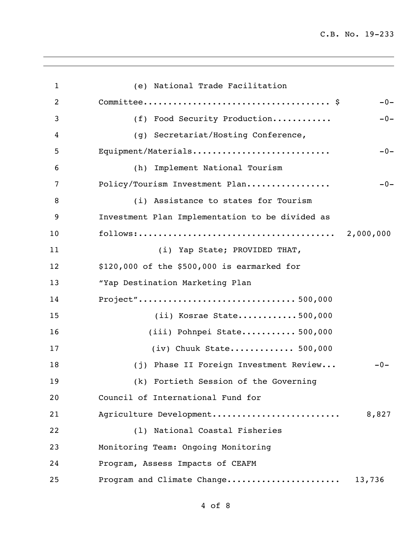| $\mathbf{1}$   | (e) National Trade Facilitation                 |        |
|----------------|-------------------------------------------------|--------|
| $\overline{2}$ |                                                 | $-0-$  |
| 3              | (f) Food Security Production                    | $-0-$  |
| 4              | (g) Secretariat/Hosting Conference,             |        |
| 5              | Equipment/Materials                             | $-0-$  |
| 6              | (h) Implement National Tourism                  |        |
| 7              | Policy/Tourism Investment Plan                  | $-0-$  |
| 8              | (i) Assistance to states for Tourism            |        |
| 9              | Investment Plan Implementation to be divided as |        |
| 10             |                                                 |        |
| 11             | (i) Yap State; PROVIDED THAT,                   |        |
| 12             | \$120,000 of the \$500,000 is earmarked for     |        |
| 13             | "Yap Destination Marketing Plan                 |        |
| 14             | Project"500,000                                 |        |
| 15             | $(i)$ Kosrae State500,000                       |        |
| 16             | $(iii)$ Pohnpei State 500,000                   |        |
| 17             | $(iv)$ Chuuk State 500,000                      |        |
| 18             | (j) Phase II Foreign Investment Review          | $-0-$  |
| 19             | (k) Fortieth Session of the Governing           |        |
| 20             | Council of International Fund for               |        |
| 21             | Agriculture Development                         | 8,827  |
| 22             | (1) National Coastal Fisheries                  |        |
| 23             | Monitoring Team: Ongoing Monitoring             |        |
| 24             | Program, Assess Impacts of CEAFM                |        |
| 25             | Program and Climate Change                      | 13,736 |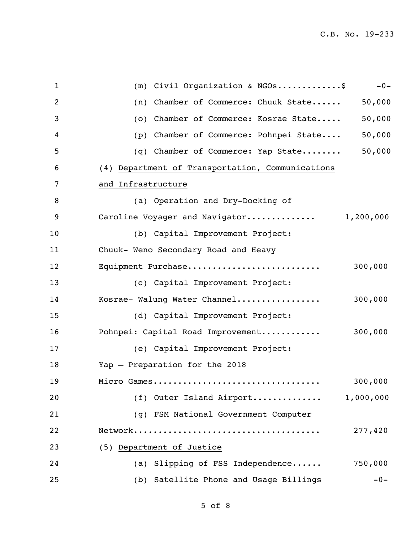| $\mathbf 1$    | (m) Civil Organization & NGOs\$<br>$-0-$                                                     |
|----------------|----------------------------------------------------------------------------------------------|
| $\overline{2}$ | 50,000<br>Chamber of Commerce: Chuuk State<br>(n)                                            |
| 3              | 50,000<br>Chamber of Commerce: Kosrae State<br>(0)                                           |
| 4              | 50,000<br>Chamber of Commerce: Pohnpei State<br>(p)                                          |
| 5              | 50,000<br>Chamber of Commerce: Yap State<br>(q)                                              |
| 6              | (4) Department of Transportation, Communications                                             |
| 7              | and Infrastructure                                                                           |
| 8              | (a) Operation and Dry-Docking of                                                             |
| 9              | 1,200,000<br>Caroline Voyager and Navigator                                                  |
| 10             | (b) Capital Improvement Project:                                                             |
| 11             | Chuuk- Weno Secondary Road and Heavy                                                         |
| 12             | 300,000<br>Equipment Purchase                                                                |
| 13             | (c) Capital Improvement Project:                                                             |
| 14             | 300,000<br>Kosrae- Walung Water Channel                                                      |
| 15             | (d) Capital Improvement Project:                                                             |
| 16             | 300,000<br>Pohnpei: Capital Road Improvement                                                 |
| 17             | (e) Capital Improvement Project:                                                             |
| 18             | Yap - Preparation for the 2018                                                               |
| 19             | 300,000<br>Micro Games                                                                       |
| 20             | 1,000,000<br>(f) Outer Island Airport                                                        |
| 21             | (g) FSM National Government Computer                                                         |
| 22             | 277,420<br>${\tt Network}\ldots\ldots\ldots\ldots\ldots\ldots\ldots\ldots\ldots\ldots\ldots$ |
| 23             | (5) Department of Justice                                                                    |
| 24             | 750,000<br>(a) Slipping of FSS Independence                                                  |
| 25             | (b) Satellite Phone and Usage Billings<br>$-0-$                                              |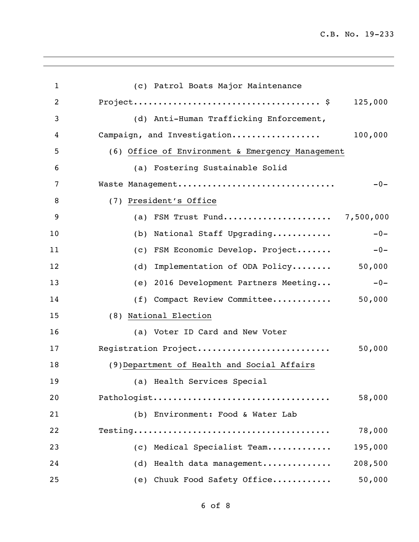| $\mathbf{1}$   | (c) Patrol Boats Major Maintenance                |
|----------------|---------------------------------------------------|
| $\overline{2}$ | 125,000                                           |
| 3              | (d) Anti-Human Trafficking Enforcement,           |
| 4              | 100,000<br>Campaign, and Investigation            |
| 5              | (6) Office of Environment & Emergency Management  |
| 6              | (a) Fostering Sustainable Solid                   |
| 7              | Waste Management<br>$-0-$                         |
| 8              | (7) President's Office                            |
| 9              | (a) FSM Trust Fund 7,500,000                      |
| 10             | $-0-$<br>National Staff Upgrading<br>(b)          |
| 11             | $-0-$<br>FSM Economic Develop. Project<br>(C)     |
| 12             | Implementation of ODA Policy 50,000<br>(d)        |
| 13             | $-0-$<br>2016 Development Partners Meeting<br>(e) |
| 14             | (f) Compact Review Committee<br>50,000            |
| 15             | (8) National Election                             |
| 16             | (a) Voter ID Card and New Voter                   |
| 17             | Registration Project<br>50,000                    |
| 18             | (9) Department of Health and Social Affairs       |
| 19             | (a) Health Services Special                       |
| 20             | 58,000<br>Pathologist                             |
| 21             | (b) Environment: Food & Water Lab                 |
| 22             | 78,000                                            |
| 23             | 195,000<br>(c) Medical Specialist Team            |
| 24             | 208,500<br>(d) Health data management             |
| 25             | (e) Chuuk Food Safety Office<br>50,000            |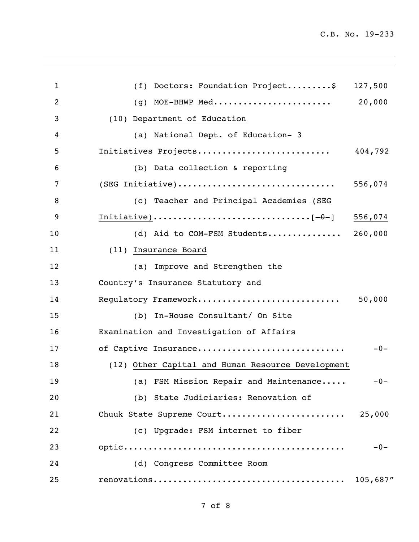| $\mathbf{1}$ | (f) Doctors: Foundation Project\$<br>127,500      |
|--------------|---------------------------------------------------|
| 2            | (g) MOE-BHWP Med<br>20,000                        |
| 3            | (10) Department of Education                      |
| 4            | (a) National Dept. of Education- 3                |
| 5            | Initiatives Projects<br>404,792                   |
| 6            | (b) Data collection & reporting                   |
| 7            | (SEG Initiative)<br>556,074                       |
| 8            | (c) Teacher and Principal Academies (SEG          |
| 9            | 556,074                                           |
| 10           | (d) Aid to COM-FSM Students<br>260,000            |
| 11           | (11) Insurance Board                              |
| 12           | (a) Improve and Strengthen the                    |
| 13           | Country's Insurance Statutory and                 |
| 14           | Regulatory Framework<br>50,000                    |
| 15           | (b) In-House Consultant/ On Site                  |
| 16           | Examination and Investigation of Affairs          |
| 17           | of Captive Insurance<br>$-0-$                     |
| 18           | (12) Other Capital and Human Resource Development |
| 19           | (a) FSM Mission Repair and Maintenance<br>$-0-$   |
| 20           | (b) State Judiciaries: Renovation of              |
| 21           | Chuuk State Supreme Court<br>25,000               |
| 22           | (c) Upgrade: FSM internet to fiber                |
| 23           | $-0-$                                             |
| 24           | (d) Congress Committee Room                       |
| 25           | 105,687"                                          |
|              |                                                   |